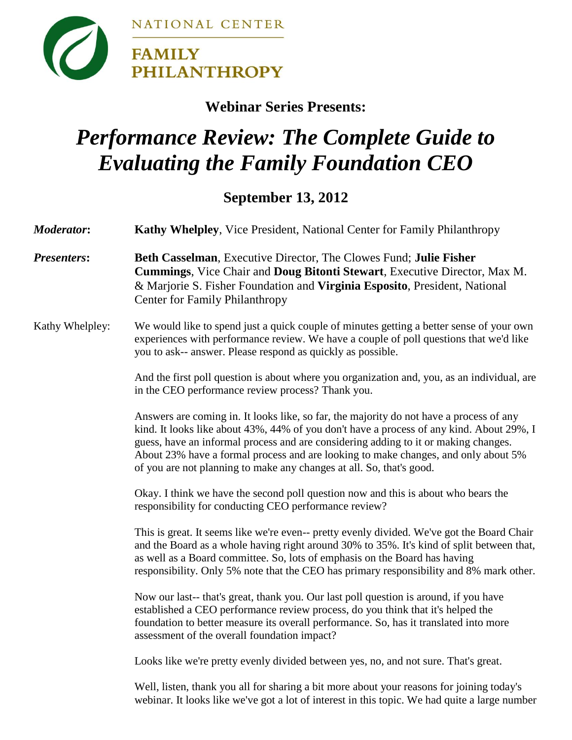

## **Webinar Series Presents:**

## *Performance Review: The Complete Guide to Evaluating the Family Foundation CEO*

## **September 13, 2012**

| <b>Moderator:</b>  | <b>Kathy Whelpley, Vice President, National Center for Family Philanthropy</b>                                                                                                                                                                                                                                                                                                                                                           |
|--------------------|------------------------------------------------------------------------------------------------------------------------------------------------------------------------------------------------------------------------------------------------------------------------------------------------------------------------------------------------------------------------------------------------------------------------------------------|
| <b>Presenters:</b> | Beth Casselman, Executive Director, The Clowes Fund; Julie Fisher<br>Cummings, Vice Chair and Doug Bitonti Stewart, Executive Director, Max M.<br>& Marjorie S. Fisher Foundation and Virginia Esposito, President, National<br><b>Center for Family Philanthropy</b>                                                                                                                                                                    |
| Kathy Whelpley:    | We would like to spend just a quick couple of minutes getting a better sense of your own<br>experiences with performance review. We have a couple of poll questions that we'd like<br>you to ask-- answer. Please respond as quickly as possible.                                                                                                                                                                                        |
|                    | And the first poll question is about where you organization and, you, as an individual, are<br>in the CEO performance review process? Thank you.                                                                                                                                                                                                                                                                                         |
|                    | Answers are coming in. It looks like, so far, the majority do not have a process of any<br>kind. It looks like about 43%, 44% of you don't have a process of any kind. About 29%, I<br>guess, have an informal process and are considering adding to it or making changes.<br>About 23% have a formal process and are looking to make changes, and only about 5%<br>of you are not planning to make any changes at all. So, that's good. |
|                    | Okay. I think we have the second poll question now and this is about who bears the<br>responsibility for conducting CEO performance review?                                                                                                                                                                                                                                                                                              |
|                    | This is great. It seems like we're even-- pretty evenly divided. We've got the Board Chair<br>and the Board as a whole having right around 30% to 35%. It's kind of split between that,<br>as well as a Board committee. So, lots of emphasis on the Board has having<br>responsibility. Only 5% note that the CEO has primary responsibility and 8% mark other.                                                                         |
|                    | Now our last-- that's great, thank you. Our last poll question is around, if you have<br>established a CEO performance review process, do you think that it's helped the<br>foundation to better measure its overall performance. So, has it translated into more<br>assessment of the overall foundation impact?                                                                                                                        |
|                    | Looks like we're pretty evenly divided between yes, no, and not sure. That's great.                                                                                                                                                                                                                                                                                                                                                      |
|                    | Well, listen, thank you all for sharing a bit more about your reasons for joining today's<br>webinar. It looks like we've got a lot of interest in this topic. We had quite a large number                                                                                                                                                                                                                                               |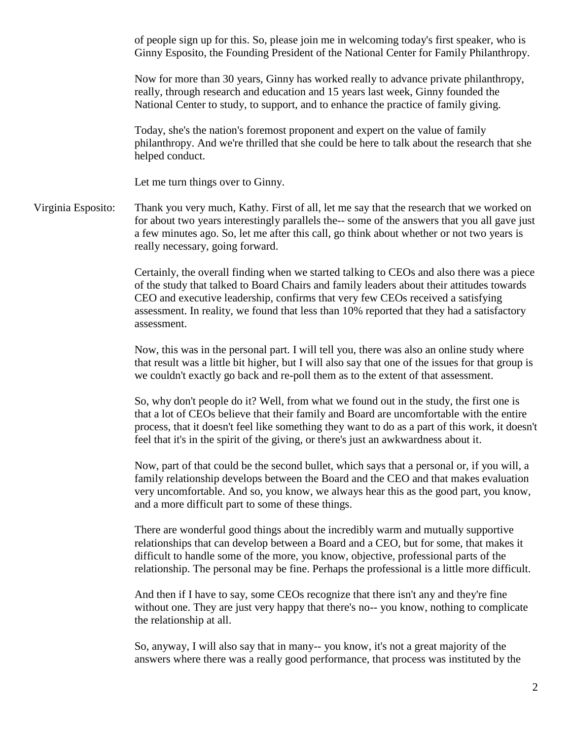of people sign up for this. So, please join me in welcoming today's first speaker, who is Ginny Esposito, the Founding President of the National Center for Family Philanthropy.

Now for more than 30 years, Ginny has worked really to advance private philanthropy, really, through research and education and 15 years last week, Ginny founded the National Center to study, to support, and to enhance the practice of family giving.

Today, she's the nation's foremost proponent and expert on the value of family philanthropy. And we're thrilled that she could be here to talk about the research that she helped conduct.

Let me turn things over to Ginny.

Virginia Esposito: Thank you very much, Kathy. First of all, let me say that the research that we worked on for about two years interestingly parallels the-- some of the answers that you all gave just a few minutes ago. So, let me after this call, go think about whether or not two years is really necessary, going forward.

> Certainly, the overall finding when we started talking to CEOs and also there was a piece of the study that talked to Board Chairs and family leaders about their attitudes towards CEO and executive leadership, confirms that very few CEOs received a satisfying assessment. In reality, we found that less than 10% reported that they had a satisfactory assessment.

> Now, this was in the personal part. I will tell you, there was also an online study where that result was a little bit higher, but I will also say that one of the issues for that group is we couldn't exactly go back and re-poll them as to the extent of that assessment.

So, why don't people do it? Well, from what we found out in the study, the first one is that a lot of CEOs believe that their family and Board are uncomfortable with the entire process, that it doesn't feel like something they want to do as a part of this work, it doesn't feel that it's in the spirit of the giving, or there's just an awkwardness about it.

Now, part of that could be the second bullet, which says that a personal or, if you will, a family relationship develops between the Board and the CEO and that makes evaluation very uncomfortable. And so, you know, we always hear this as the good part, you know, and a more difficult part to some of these things.

There are wonderful good things about the incredibly warm and mutually supportive relationships that can develop between a Board and a CEO, but for some, that makes it difficult to handle some of the more, you know, objective, professional parts of the relationship. The personal may be fine. Perhaps the professional is a little more difficult.

And then if I have to say, some CEOs recognize that there isn't any and they're fine without one. They are just very happy that there's no-- you know, nothing to complicate the relationship at all.

So, anyway, I will also say that in many-- you know, it's not a great majority of the answers where there was a really good performance, that process was instituted by the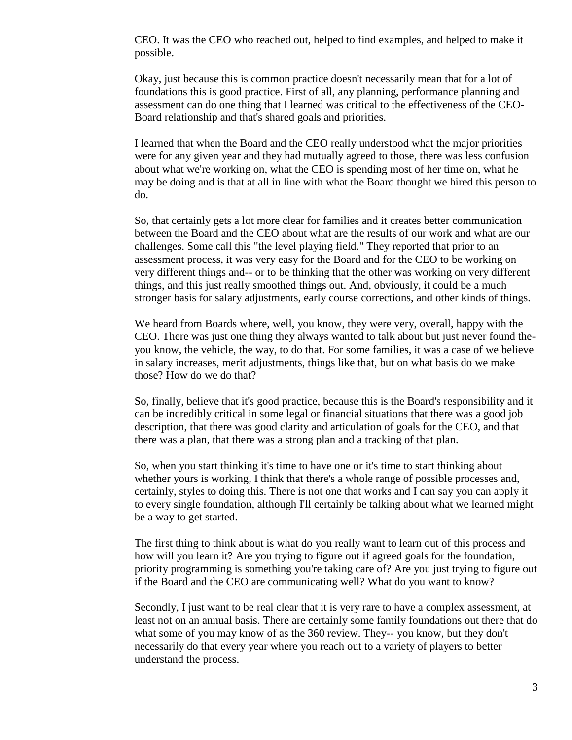CEO. It was the CEO who reached out, helped to find examples, and helped to make it possible.

Okay, just because this is common practice doesn't necessarily mean that for a lot of foundations this is good practice. First of all, any planning, performance planning and assessment can do one thing that I learned was critical to the effectiveness of the CEO-Board relationship and that's shared goals and priorities.

I learned that when the Board and the CEO really understood what the major priorities were for any given year and they had mutually agreed to those, there was less confusion about what we're working on, what the CEO is spending most of her time on, what he may be doing and is that at all in line with what the Board thought we hired this person to do.

So, that certainly gets a lot more clear for families and it creates better communication between the Board and the CEO about what are the results of our work and what are our challenges. Some call this "the level playing field." They reported that prior to an assessment process, it was very easy for the Board and for the CEO to be working on very different things and-- or to be thinking that the other was working on very different things, and this just really smoothed things out. And, obviously, it could be a much stronger basis for salary adjustments, early course corrections, and other kinds of things.

We heard from Boards where, well, you know, they were very, overall, happy with the CEO. There was just one thing they always wanted to talk about but just never found theyou know, the vehicle, the way, to do that. For some families, it was a case of we believe in salary increases, merit adjustments, things like that, but on what basis do we make those? How do we do that?

So, finally, believe that it's good practice, because this is the Board's responsibility and it can be incredibly critical in some legal or financial situations that there was a good job description, that there was good clarity and articulation of goals for the CEO, and that there was a plan, that there was a strong plan and a tracking of that plan.

So, when you start thinking it's time to have one or it's time to start thinking about whether yours is working, I think that there's a whole range of possible processes and, certainly, styles to doing this. There is not one that works and I can say you can apply it to every single foundation, although I'll certainly be talking about what we learned might be a way to get started.

The first thing to think about is what do you really want to learn out of this process and how will you learn it? Are you trying to figure out if agreed goals for the foundation, priority programming is something you're taking care of? Are you just trying to figure out if the Board and the CEO are communicating well? What do you want to know?

Secondly, I just want to be real clear that it is very rare to have a complex assessment, at least not on an annual basis. There are certainly some family foundations out there that do what some of you may know of as the 360 review. They-- you know, but they don't necessarily do that every year where you reach out to a variety of players to better understand the process.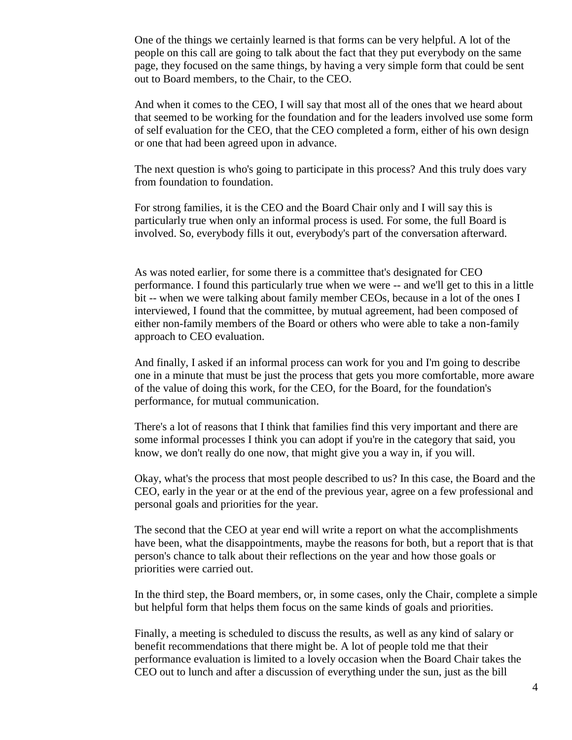One of the things we certainly learned is that forms can be very helpful. A lot of the people on this call are going to talk about the fact that they put everybody on the same page, they focused on the same things, by having a very simple form that could be sent out to Board members, to the Chair, to the CEO.

And when it comes to the CEO, I will say that most all of the ones that we heard about that seemed to be working for the foundation and for the leaders involved use some form of self evaluation for the CEO, that the CEO completed a form, either of his own design or one that had been agreed upon in advance.

The next question is who's going to participate in this process? And this truly does vary from foundation to foundation.

For strong families, it is the CEO and the Board Chair only and I will say this is particularly true when only an informal process is used. For some, the full Board is involved. So, everybody fills it out, everybody's part of the conversation afterward.

As was noted earlier, for some there is a committee that's designated for CEO performance. I found this particularly true when we were -- and we'll get to this in a little bit -- when we were talking about family member CEOs, because in a lot of the ones I interviewed, I found that the committee, by mutual agreement, had been composed of either non-family members of the Board or others who were able to take a non-family approach to CEO evaluation.

And finally, I asked if an informal process can work for you and I'm going to describe one in a minute that must be just the process that gets you more comfortable, more aware of the value of doing this work, for the CEO, for the Board, for the foundation's performance, for mutual communication.

There's a lot of reasons that I think that families find this very important and there are some informal processes I think you can adopt if you're in the category that said, you know, we don't really do one now, that might give you a way in, if you will.

Okay, what's the process that most people described to us? In this case, the Board and the CEO, early in the year or at the end of the previous year, agree on a few professional and personal goals and priorities for the year.

The second that the CEO at year end will write a report on what the accomplishments have been, what the disappointments, maybe the reasons for both, but a report that is that person's chance to talk about their reflections on the year and how those goals or priorities were carried out.

In the third step, the Board members, or, in some cases, only the Chair, complete a simple but helpful form that helps them focus on the same kinds of goals and priorities.

Finally, a meeting is scheduled to discuss the results, as well as any kind of salary or benefit recommendations that there might be. A lot of people told me that their performance evaluation is limited to a lovely occasion when the Board Chair takes the CEO out to lunch and after a discussion of everything under the sun, just as the bill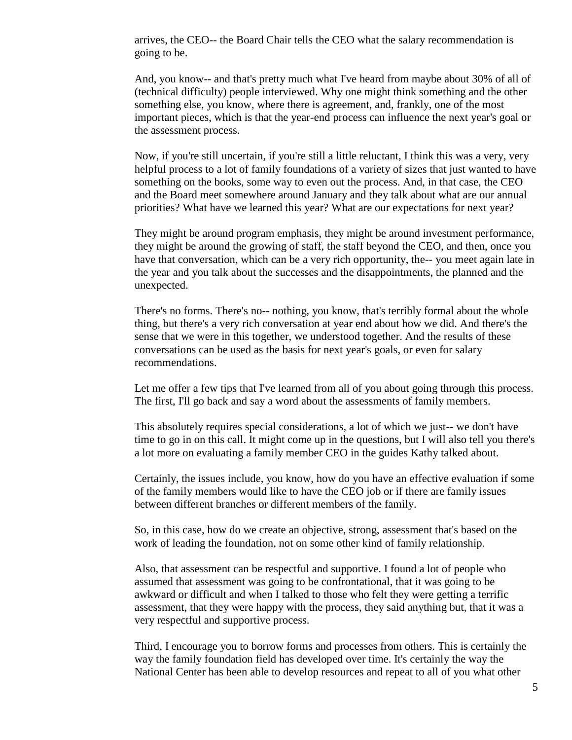arrives, the CEO-- the Board Chair tells the CEO what the salary recommendation is going to be.

And, you know-- and that's pretty much what I've heard from maybe about 30% of all of (technical difficulty) people interviewed. Why one might think something and the other something else, you know, where there is agreement, and, frankly, one of the most important pieces, which is that the year-end process can influence the next year's goal or the assessment process.

Now, if you're still uncertain, if you're still a little reluctant, I think this was a very, very helpful process to a lot of family foundations of a variety of sizes that just wanted to have something on the books, some way to even out the process. And, in that case, the CEO and the Board meet somewhere around January and they talk about what are our annual priorities? What have we learned this year? What are our expectations for next year?

They might be around program emphasis, they might be around investment performance, they might be around the growing of staff, the staff beyond the CEO, and then, once you have that conversation, which can be a very rich opportunity, the-- you meet again late in the year and you talk about the successes and the disappointments, the planned and the unexpected.

There's no forms. There's no-- nothing, you know, that's terribly formal about the whole thing, but there's a very rich conversation at year end about how we did. And there's the sense that we were in this together, we understood together. And the results of these conversations can be used as the basis for next year's goals, or even for salary recommendations.

Let me offer a few tips that I've learned from all of you about going through this process. The first, I'll go back and say a word about the assessments of family members.

This absolutely requires special considerations, a lot of which we just-- we don't have time to go in on this call. It might come up in the questions, but I will also tell you there's a lot more on evaluating a family member CEO in the guides Kathy talked about.

Certainly, the issues include, you know, how do you have an effective evaluation if some of the family members would like to have the CEO job or if there are family issues between different branches or different members of the family.

So, in this case, how do we create an objective, strong, assessment that's based on the work of leading the foundation, not on some other kind of family relationship.

Also, that assessment can be respectful and supportive. I found a lot of people who assumed that assessment was going to be confrontational, that it was going to be awkward or difficult and when I talked to those who felt they were getting a terrific assessment, that they were happy with the process, they said anything but, that it was a very respectful and supportive process.

Third, I encourage you to borrow forms and processes from others. This is certainly the way the family foundation field has developed over time. It's certainly the way the National Center has been able to develop resources and repeat to all of you what other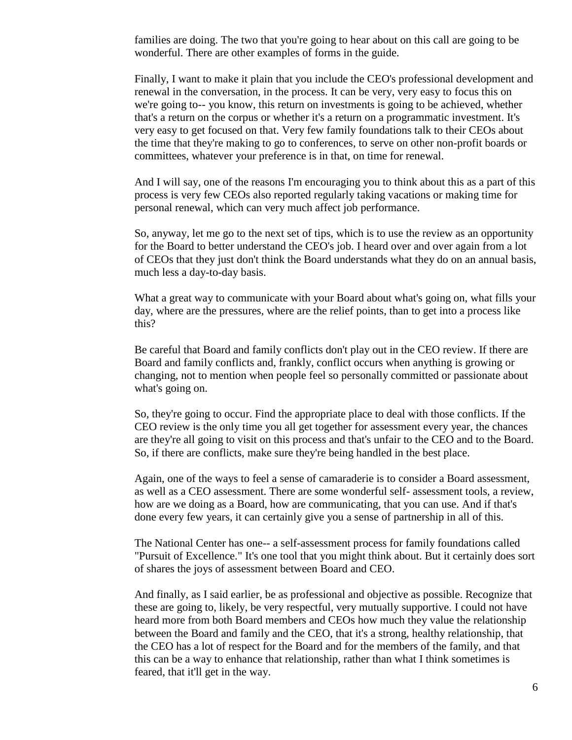families are doing. The two that you're going to hear about on this call are going to be wonderful. There are other examples of forms in the guide.

Finally, I want to make it plain that you include the CEO's professional development and renewal in the conversation, in the process. It can be very, very easy to focus this on we're going to-- you know, this return on investments is going to be achieved, whether that's a return on the corpus or whether it's a return on a programmatic investment. It's very easy to get focused on that. Very few family foundations talk to their CEOs about the time that they're making to go to conferences, to serve on other non-profit boards or committees, whatever your preference is in that, on time for renewal.

And I will say, one of the reasons I'm encouraging you to think about this as a part of this process is very few CEOs also reported regularly taking vacations or making time for personal renewal, which can very much affect job performance.

So, anyway, let me go to the next set of tips, which is to use the review as an opportunity for the Board to better understand the CEO's job. I heard over and over again from a lot of CEOs that they just don't think the Board understands what they do on an annual basis, much less a day-to-day basis.

What a great way to communicate with your Board about what's going on, what fills your day, where are the pressures, where are the relief points, than to get into a process like this?

Be careful that Board and family conflicts don't play out in the CEO review. If there are Board and family conflicts and, frankly, conflict occurs when anything is growing or changing, not to mention when people feel so personally committed or passionate about what's going on.

So, they're going to occur. Find the appropriate place to deal with those conflicts. If the CEO review is the only time you all get together for assessment every year, the chances are they're all going to visit on this process and that's unfair to the CEO and to the Board. So, if there are conflicts, make sure they're being handled in the best place.

Again, one of the ways to feel a sense of camaraderie is to consider a Board assessment, as well as a CEO assessment. There are some wonderful self- assessment tools, a review, how are we doing as a Board, how are communicating, that you can use. And if that's done every few years, it can certainly give you a sense of partnership in all of this.

The National Center has one-- a self-assessment process for family foundations called "Pursuit of Excellence." It's one tool that you might think about. But it certainly does sort of shares the joys of assessment between Board and CEO.

And finally, as I said earlier, be as professional and objective as possible. Recognize that these are going to, likely, be very respectful, very mutually supportive. I could not have heard more from both Board members and CEOs how much they value the relationship between the Board and family and the CEO, that it's a strong, healthy relationship, that the CEO has a lot of respect for the Board and for the members of the family, and that this can be a way to enhance that relationship, rather than what I think sometimes is feared, that it'll get in the way.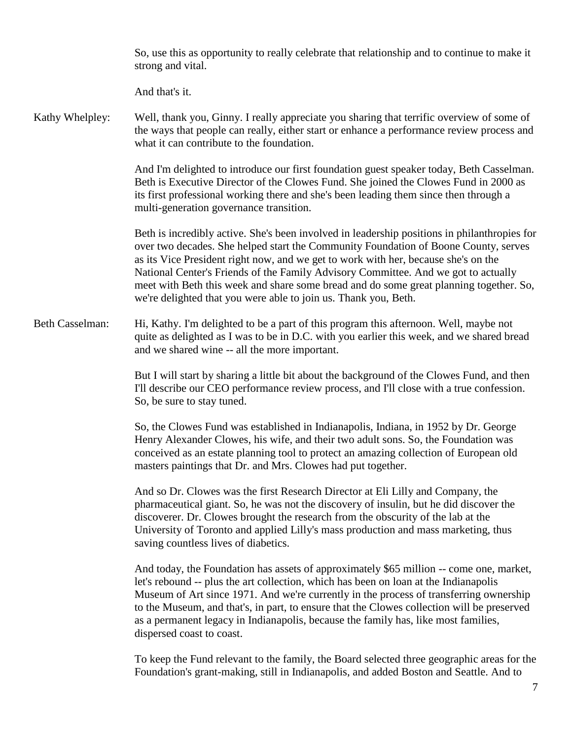So, use this as opportunity to really celebrate that relationship and to continue to make it strong and vital.

And that's it.

Kathy Whelpley: Well, thank you, Ginny. I really appreciate you sharing that terrific overview of some of the ways that people can really, either start or enhance a performance review process and what it can contribute to the foundation.

> And I'm delighted to introduce our first foundation guest speaker today, Beth Casselman. Beth is Executive Director of the Clowes Fund. She joined the Clowes Fund in 2000 as its first professional working there and she's been leading them since then through a multi-generation governance transition.

> Beth is incredibly active. She's been involved in leadership positions in philanthropies for over two decades. She helped start the Community Foundation of Boone County, serves as its Vice President right now, and we get to work with her, because she's on the National Center's Friends of the Family Advisory Committee. And we got to actually meet with Beth this week and share some bread and do some great planning together. So, we're delighted that you were able to join us. Thank you, Beth.

Beth Casselman: Hi, Kathy. I'm delighted to be a part of this program this afternoon. Well, maybe not quite as delighted as I was to be in D.C. with you earlier this week, and we shared bread and we shared wine -- all the more important.

> But I will start by sharing a little bit about the background of the Clowes Fund, and then I'll describe our CEO performance review process, and I'll close with a true confession. So, be sure to stay tuned.

So, the Clowes Fund was established in Indianapolis, Indiana, in 1952 by Dr. George Henry Alexander Clowes, his wife, and their two adult sons. So, the Foundation was conceived as an estate planning tool to protect an amazing collection of European old masters paintings that Dr. and Mrs. Clowes had put together.

And so Dr. Clowes was the first Research Director at Eli Lilly and Company, the pharmaceutical giant. So, he was not the discovery of insulin, but he did discover the discoverer. Dr. Clowes brought the research from the obscurity of the lab at the University of Toronto and applied Lilly's mass production and mass marketing, thus saving countless lives of diabetics.

And today, the Foundation has assets of approximately \$65 million -- come one, market, let's rebound -- plus the art collection, which has been on loan at the Indianapolis Museum of Art since 1971. And we're currently in the process of transferring ownership to the Museum, and that's, in part, to ensure that the Clowes collection will be preserved as a permanent legacy in Indianapolis, because the family has, like most families, dispersed coast to coast.

To keep the Fund relevant to the family, the Board selected three geographic areas for the Foundation's grant-making, still in Indianapolis, and added Boston and Seattle. And to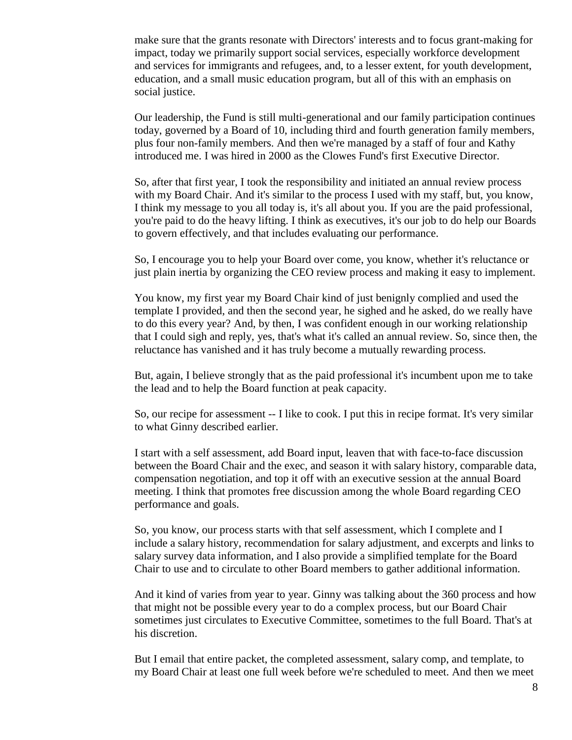make sure that the grants resonate with Directors' interests and to focus grant-making for impact, today we primarily support social services, especially workforce development and services for immigrants and refugees, and, to a lesser extent, for youth development, education, and a small music education program, but all of this with an emphasis on social justice.

Our leadership, the Fund is still multi-generational and our family participation continues today, governed by a Board of 10, including third and fourth generation family members, plus four non-family members. And then we're managed by a staff of four and Kathy introduced me. I was hired in 2000 as the Clowes Fund's first Executive Director.

So, after that first year, I took the responsibility and initiated an annual review process with my Board Chair. And it's similar to the process I used with my staff, but, you know, I think my message to you all today is, it's all about you. If you are the paid professional, you're paid to do the heavy lifting. I think as executives, it's our job to do help our Boards to govern effectively, and that includes evaluating our performance.

So, I encourage you to help your Board over come, you know, whether it's reluctance or just plain inertia by organizing the CEO review process and making it easy to implement.

You know, my first year my Board Chair kind of just benignly complied and used the template I provided, and then the second year, he sighed and he asked, do we really have to do this every year? And, by then, I was confident enough in our working relationship that I could sigh and reply, yes, that's what it's called an annual review. So, since then, the reluctance has vanished and it has truly become a mutually rewarding process.

But, again, I believe strongly that as the paid professional it's incumbent upon me to take the lead and to help the Board function at peak capacity.

So, our recipe for assessment -- I like to cook. I put this in recipe format. It's very similar to what Ginny described earlier.

I start with a self assessment, add Board input, leaven that with face-to-face discussion between the Board Chair and the exec, and season it with salary history, comparable data, compensation negotiation, and top it off with an executive session at the annual Board meeting. I think that promotes free discussion among the whole Board regarding CEO performance and goals.

So, you know, our process starts with that self assessment, which I complete and I include a salary history, recommendation for salary adjustment, and excerpts and links to salary survey data information, and I also provide a simplified template for the Board Chair to use and to circulate to other Board members to gather additional information.

And it kind of varies from year to year. Ginny was talking about the 360 process and how that might not be possible every year to do a complex process, but our Board Chair sometimes just circulates to Executive Committee, sometimes to the full Board. That's at his discretion.

But I email that entire packet, the completed assessment, salary comp, and template, to my Board Chair at least one full week before we're scheduled to meet. And then we meet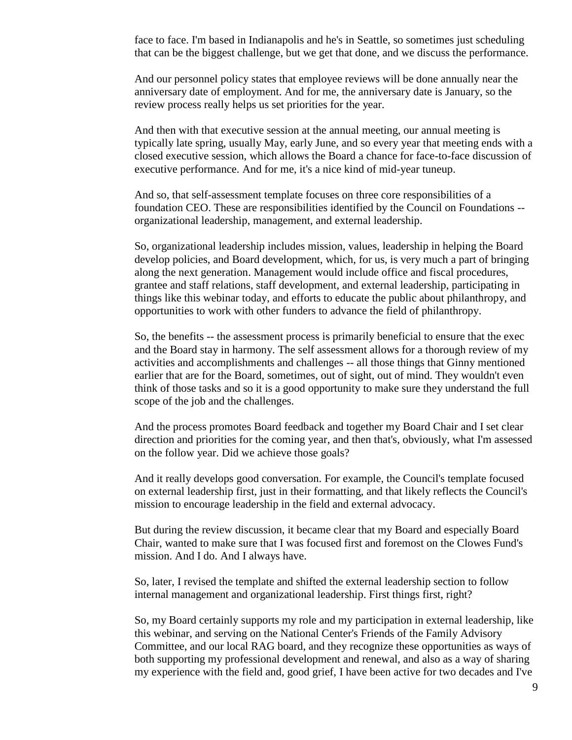face to face. I'm based in Indianapolis and he's in Seattle, so sometimes just scheduling that can be the biggest challenge, but we get that done, and we discuss the performance.

And our personnel policy states that employee reviews will be done annually near the anniversary date of employment. And for me, the anniversary date is January, so the review process really helps us set priorities for the year.

And then with that executive session at the annual meeting, our annual meeting is typically late spring, usually May, early June, and so every year that meeting ends with a closed executive session, which allows the Board a chance for face-to-face discussion of executive performance. And for me, it's a nice kind of mid-year tuneup.

And so, that self-assessment template focuses on three core responsibilities of a foundation CEO. These are responsibilities identified by the Council on Foundations - organizational leadership, management, and external leadership.

So, organizational leadership includes mission, values, leadership in helping the Board develop policies, and Board development, which, for us, is very much a part of bringing along the next generation. Management would include office and fiscal procedures, grantee and staff relations, staff development, and external leadership, participating in things like this webinar today, and efforts to educate the public about philanthropy, and opportunities to work with other funders to advance the field of philanthropy.

So, the benefits -- the assessment process is primarily beneficial to ensure that the exec and the Board stay in harmony. The self assessment allows for a thorough review of my activities and accomplishments and challenges -- all those things that Ginny mentioned earlier that are for the Board, sometimes, out of sight, out of mind. They wouldn't even think of those tasks and so it is a good opportunity to make sure they understand the full scope of the job and the challenges.

And the process promotes Board feedback and together my Board Chair and I set clear direction and priorities for the coming year, and then that's, obviously, what I'm assessed on the follow year. Did we achieve those goals?

And it really develops good conversation. For example, the Council's template focused on external leadership first, just in their formatting, and that likely reflects the Council's mission to encourage leadership in the field and external advocacy.

But during the review discussion, it became clear that my Board and especially Board Chair, wanted to make sure that I was focused first and foremost on the Clowes Fund's mission. And I do. And I always have.

So, later, I revised the template and shifted the external leadership section to follow internal management and organizational leadership. First things first, right?

So, my Board certainly supports my role and my participation in external leadership, like this webinar, and serving on the National Center's Friends of the Family Advisory Committee, and our local RAG board, and they recognize these opportunities as ways of both supporting my professional development and renewal, and also as a way of sharing my experience with the field and, good grief, I have been active for two decades and I've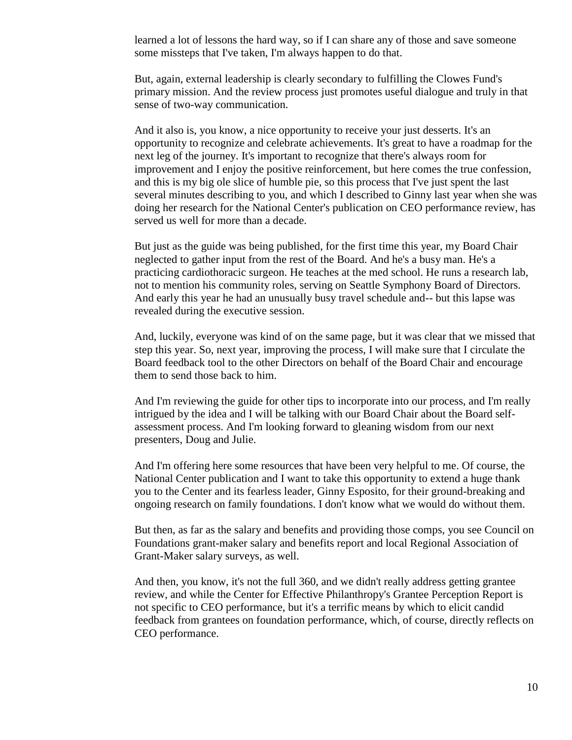learned a lot of lessons the hard way, so if I can share any of those and save someone some missteps that I've taken, I'm always happen to do that.

But, again, external leadership is clearly secondary to fulfilling the Clowes Fund's primary mission. And the review process just promotes useful dialogue and truly in that sense of two-way communication.

And it also is, you know, a nice opportunity to receive your just desserts. It's an opportunity to recognize and celebrate achievements. It's great to have a roadmap for the next leg of the journey. It's important to recognize that there's always room for improvement and I enjoy the positive reinforcement, but here comes the true confession, and this is my big ole slice of humble pie, so this process that I've just spent the last several minutes describing to you, and which I described to Ginny last year when she was doing her research for the National Center's publication on CEO performance review, has served us well for more than a decade.

But just as the guide was being published, for the first time this year, my Board Chair neglected to gather input from the rest of the Board. And he's a busy man. He's a practicing cardiothoracic surgeon. He teaches at the med school. He runs a research lab, not to mention his community roles, serving on Seattle Symphony Board of Directors. And early this year he had an unusually busy travel schedule and-- but this lapse was revealed during the executive session.

And, luckily, everyone was kind of on the same page, but it was clear that we missed that step this year. So, next year, improving the process, I will make sure that I circulate the Board feedback tool to the other Directors on behalf of the Board Chair and encourage them to send those back to him.

And I'm reviewing the guide for other tips to incorporate into our process, and I'm really intrigued by the idea and I will be talking with our Board Chair about the Board selfassessment process. And I'm looking forward to gleaning wisdom from our next presenters, Doug and Julie.

And I'm offering here some resources that have been very helpful to me. Of course, the National Center publication and I want to take this opportunity to extend a huge thank you to the Center and its fearless leader, Ginny Esposito, for their ground-breaking and ongoing research on family foundations. I don't know what we would do without them.

But then, as far as the salary and benefits and providing those comps, you see Council on Foundations grant-maker salary and benefits report and local Regional Association of Grant-Maker salary surveys, as well.

And then, you know, it's not the full 360, and we didn't really address getting grantee review, and while the Center for Effective Philanthropy's Grantee Perception Report is not specific to CEO performance, but it's a terrific means by which to elicit candid feedback from grantees on foundation performance, which, of course, directly reflects on CEO performance.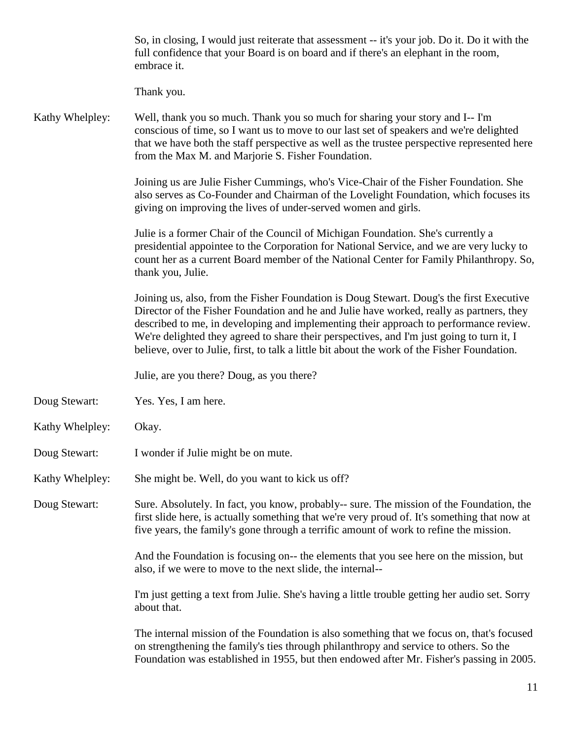|                 | So, in closing, I would just reiterate that assessment -- it's your job. Do it. Do it with the<br>full confidence that your Board is on board and if there's an elephant in the room,<br>embrace it.                                                                                                                                                                                                                                                                       |
|-----------------|----------------------------------------------------------------------------------------------------------------------------------------------------------------------------------------------------------------------------------------------------------------------------------------------------------------------------------------------------------------------------------------------------------------------------------------------------------------------------|
|                 | Thank you.                                                                                                                                                                                                                                                                                                                                                                                                                                                                 |
| Kathy Whelpley: | Well, thank you so much. Thank you so much for sharing your story and I-- I'm<br>conscious of time, so I want us to move to our last set of speakers and we're delighted<br>that we have both the staff perspective as well as the trustee perspective represented here<br>from the Max M. and Marjorie S. Fisher Foundation.                                                                                                                                              |
|                 | Joining us are Julie Fisher Cummings, who's Vice-Chair of the Fisher Foundation. She<br>also serves as Co-Founder and Chairman of the Lovelight Foundation, which focuses its<br>giving on improving the lives of under-served women and girls.                                                                                                                                                                                                                            |
|                 | Julie is a former Chair of the Council of Michigan Foundation. She's currently a<br>presidential appointee to the Corporation for National Service, and we are very lucky to<br>count her as a current Board member of the National Center for Family Philanthropy. So,<br>thank you, Julie.                                                                                                                                                                               |
|                 | Joining us, also, from the Fisher Foundation is Doug Stewart. Doug's the first Executive<br>Director of the Fisher Foundation and he and Julie have worked, really as partners, they<br>described to me, in developing and implementing their approach to performance review.<br>We're delighted they agreed to share their perspectives, and I'm just going to turn it, I<br>believe, over to Julie, first, to talk a little bit about the work of the Fisher Foundation. |
|                 | Julie, are you there? Doug, as you there?                                                                                                                                                                                                                                                                                                                                                                                                                                  |
| Doug Stewart:   | Yes. Yes, I am here.                                                                                                                                                                                                                                                                                                                                                                                                                                                       |
| Kathy Whelpley: | Okay.                                                                                                                                                                                                                                                                                                                                                                                                                                                                      |
| Doug Stewart:   | I wonder if Julie might be on mute.                                                                                                                                                                                                                                                                                                                                                                                                                                        |
| Kathy Whelpley: | She might be. Well, do you want to kick us off?                                                                                                                                                                                                                                                                                                                                                                                                                            |
| Doug Stewart:   | Sure. Absolutely. In fact, you know, probably-- sure. The mission of the Foundation, the<br>first slide here, is actually something that we're very proud of. It's something that now at<br>five years, the family's gone through a terrific amount of work to refine the mission.                                                                                                                                                                                         |
|                 | And the Foundation is focusing on-- the elements that you see here on the mission, but<br>also, if we were to move to the next slide, the internal--                                                                                                                                                                                                                                                                                                                       |
|                 | I'm just getting a text from Julie. She's having a little trouble getting her audio set. Sorry<br>about that.                                                                                                                                                                                                                                                                                                                                                              |
|                 | The internal mission of the Foundation is also something that we focus on, that's focused<br>on strengthening the family's ties through philanthropy and service to others. So the<br>Foundation was established in 1955, but then endowed after Mr. Fisher's passing in 2005.                                                                                                                                                                                             |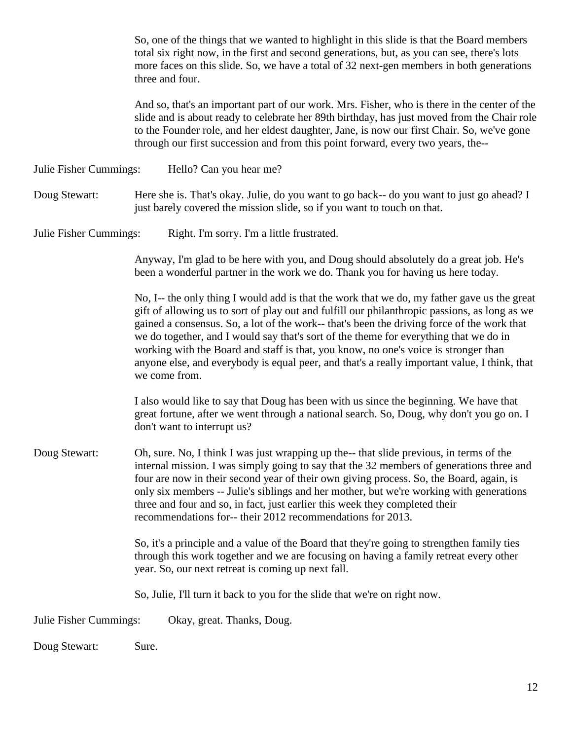So, one of the things that we wanted to highlight in this slide is that the Board members total six right now, in the first and second generations, but, as you can see, there's lots more faces on this slide. So, we have a total of 32 next-gen members in both generations three and four.

And so, that's an important part of our work. Mrs. Fisher, who is there in the center of the slide and is about ready to celebrate her 89th birthday, has just moved from the Chair role to the Founder role, and her eldest daughter, Jane, is now our first Chair. So, we've gone through our first succession and from this point forward, every two years, the--

Julie Fisher Cummings: Hello? Can you hear me?

Doug Stewart: Here she is. That's okay. Julie, do you want to go back-- do you want to just go ahead? I just barely covered the mission slide, so if you want to touch on that.

Julie Fisher Cummings: Right. I'm sorry. I'm a little frustrated.

Anyway, I'm glad to be here with you, and Doug should absolutely do a great job. He's been a wonderful partner in the work we do. Thank you for having us here today.

No, I-- the only thing I would add is that the work that we do, my father gave us the great gift of allowing us to sort of play out and fulfill our philanthropic passions, as long as we gained a consensus. So, a lot of the work-- that's been the driving force of the work that we do together, and I would say that's sort of the theme for everything that we do in working with the Board and staff is that, you know, no one's voice is stronger than anyone else, and everybody is equal peer, and that's a really important value, I think, that we come from.

I also would like to say that Doug has been with us since the beginning. We have that great fortune, after we went through a national search. So, Doug, why don't you go on. I don't want to interrupt us?

Doug Stewart: Oh, sure. No, I think I was just wrapping up the-- that slide previous, in terms of the internal mission. I was simply going to say that the 32 members of generations three and four are now in their second year of their own giving process. So, the Board, again, is only six members -- Julie's siblings and her mother, but we're working with generations three and four and so, in fact, just earlier this week they completed their recommendations for-- their 2012 recommendations for 2013.

> So, it's a principle and a value of the Board that they're going to strengthen family ties through this work together and we are focusing on having a family retreat every other year. So, our next retreat is coming up next fall.

So, Julie, I'll turn it back to you for the slide that we're on right now.

Julie Fisher Cummings: Okay, great. Thanks, Doug.

Doug Stewart: Sure.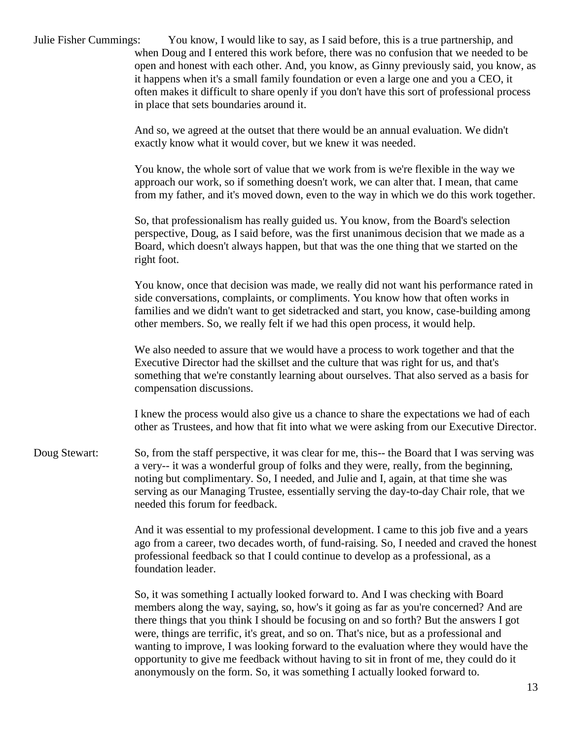| Julie Fisher Cummings: | You know, I would like to say, as I said before, this is a true partnership, and<br>when Doug and I entered this work before, there was no confusion that we needed to be<br>open and honest with each other. And, you know, as Ginny previously said, you know, as<br>it happens when it's a small family foundation or even a large one and you a CEO, it<br>often makes it difficult to share openly if you don't have this sort of professional process<br>in place that sets boundaries around it.                                             |
|------------------------|-----------------------------------------------------------------------------------------------------------------------------------------------------------------------------------------------------------------------------------------------------------------------------------------------------------------------------------------------------------------------------------------------------------------------------------------------------------------------------------------------------------------------------------------------------|
|                        | And so, we agreed at the outset that there would be an annual evaluation. We didn't<br>exactly know what it would cover, but we knew it was needed.                                                                                                                                                                                                                                                                                                                                                                                                 |
|                        | You know, the whole sort of value that we work from is we're flexible in the way we<br>approach our work, so if something doesn't work, we can alter that. I mean, that came<br>from my father, and it's moved down, even to the way in which we do this work together.                                                                                                                                                                                                                                                                             |
|                        | So, that professionalism has really guided us. You know, from the Board's selection<br>perspective, Doug, as I said before, was the first unanimous decision that we made as a<br>Board, which doesn't always happen, but that was the one thing that we started on the<br>right foot.                                                                                                                                                                                                                                                              |
|                        | You know, once that decision was made, we really did not want his performance rated in<br>side conversations, complaints, or compliments. You know how that often works in<br>families and we didn't want to get sidetracked and start, you know, case-building among<br>other members. So, we really felt if we had this open process, it would help.                                                                                                                                                                                              |
|                        | We also needed to assure that we would have a process to work together and that the<br>Executive Director had the skillset and the culture that was right for us, and that's<br>something that we're constantly learning about ourselves. That also served as a basis for<br>compensation discussions.                                                                                                                                                                                                                                              |
|                        | I knew the process would also give us a chance to share the expectations we had of each<br>other as Trustees, and how that fit into what we were asking from our Executive Director.                                                                                                                                                                                                                                                                                                                                                                |
| Doug Stewart:          | So, from the staff perspective, it was clear for me, this-- the Board that I was serving was<br>a very-- it was a wonderful group of folks and they were, really, from the beginning,<br>noting but complimentary. So, I needed, and Julie and I, again, at that time she was<br>serving as our Managing Trustee, essentially serving the day-to-day Chair role, that we<br>needed this forum for feedback.                                                                                                                                         |
|                        | And it was essential to my professional development. I came to this job five and a years<br>ago from a career, two decades worth, of fund-raising. So, I needed and craved the honest<br>professional feedback so that I could continue to develop as a professional, as a<br>foundation leader.                                                                                                                                                                                                                                                    |
|                        | So, it was something I actually looked forward to. And I was checking with Board<br>members along the way, saying, so, how's it going as far as you're concerned? And are<br>there things that you think I should be focusing on and so forth? But the answers I got<br>were, things are terrific, it's great, and so on. That's nice, but as a professional and<br>wanting to improve, I was looking forward to the evaluation where they would have the<br>opportunity to give me feedback without having to sit in front of me, they could do it |

anonymously on the form. So, it was something I actually looked forward to.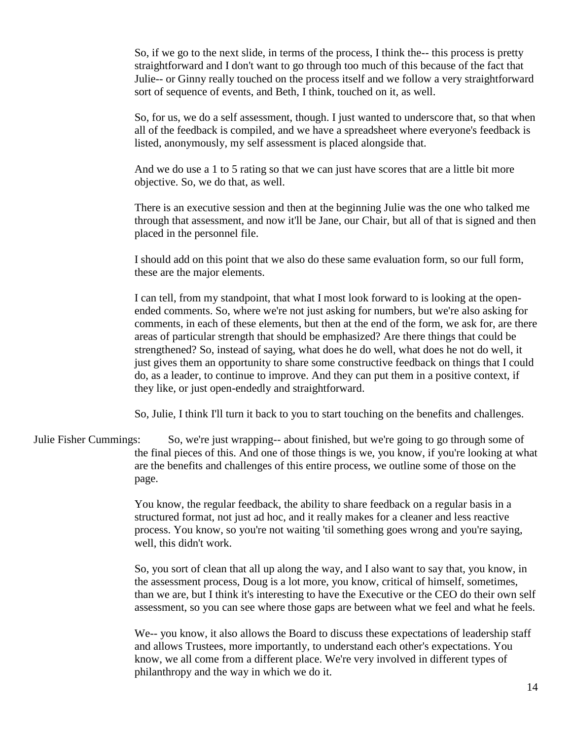So, if we go to the next slide, in terms of the process, I think the-- this process is pretty straightforward and I don't want to go through too much of this because of the fact that Julie-- or Ginny really touched on the process itself and we follow a very straightforward sort of sequence of events, and Beth, I think, touched on it, as well.

So, for us, we do a self assessment, though. I just wanted to underscore that, so that when all of the feedback is compiled, and we have a spreadsheet where everyone's feedback is listed, anonymously, my self assessment is placed alongside that.

And we do use a 1 to 5 rating so that we can just have scores that are a little bit more objective. So, we do that, as well.

There is an executive session and then at the beginning Julie was the one who talked me through that assessment, and now it'll be Jane, our Chair, but all of that is signed and then placed in the personnel file.

I should add on this point that we also do these same evaluation form, so our full form, these are the major elements.

I can tell, from my standpoint, that what I most look forward to is looking at the openended comments. So, where we're not just asking for numbers, but we're also asking for comments, in each of these elements, but then at the end of the form, we ask for, are there areas of particular strength that should be emphasized? Are there things that could be strengthened? So, instead of saying, what does he do well, what does he not do well, it just gives them an opportunity to share some constructive feedback on things that I could do, as a leader, to continue to improve. And they can put them in a positive context, if they like, or just open-endedly and straightforward.

So, Julie, I think I'll turn it back to you to start touching on the benefits and challenges.

Julie Fisher Cummings: So, we're just wrapping-- about finished, but we're going to go through some of the final pieces of this. And one of those things is we, you know, if you're looking at what are the benefits and challenges of this entire process, we outline some of those on the page.

> You know, the regular feedback, the ability to share feedback on a regular basis in a structured format, not just ad hoc, and it really makes for a cleaner and less reactive process. You know, so you're not waiting 'til something goes wrong and you're saying, well, this didn't work.

So, you sort of clean that all up along the way, and I also want to say that, you know, in the assessment process, Doug is a lot more, you know, critical of himself, sometimes, than we are, but I think it's interesting to have the Executive or the CEO do their own self assessment, so you can see where those gaps are between what we feel and what he feels.

We-- you know, it also allows the Board to discuss these expectations of leadership staff and allows Trustees, more importantly, to understand each other's expectations. You know, we all come from a different place. We're very involved in different types of philanthropy and the way in which we do it.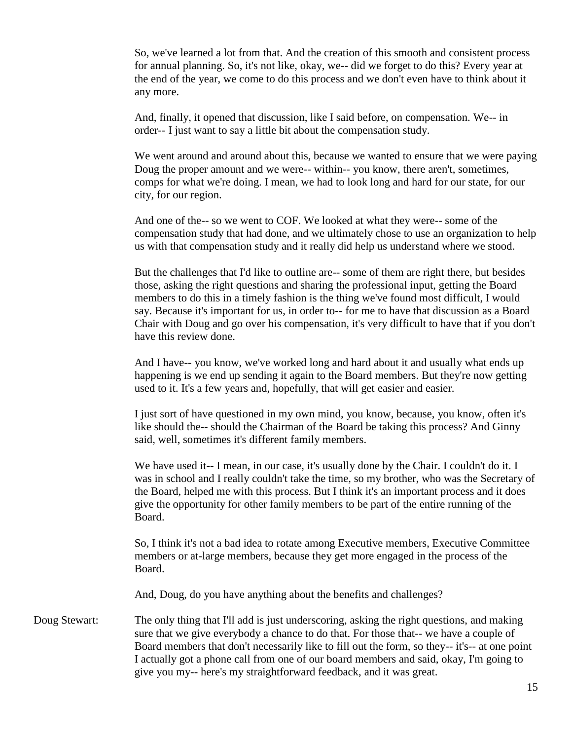So, we've learned a lot from that. And the creation of this smooth and consistent process for annual planning. So, it's not like, okay, we-- did we forget to do this? Every year at the end of the year, we come to do this process and we don't even have to think about it any more.

And, finally, it opened that discussion, like I said before, on compensation. We-- in order-- I just want to say a little bit about the compensation study.

We went around and around about this, because we wanted to ensure that we were paying Doug the proper amount and we were-- within-- you know, there aren't, sometimes, comps for what we're doing. I mean, we had to look long and hard for our state, for our city, for our region.

And one of the-- so we went to COF. We looked at what they were-- some of the compensation study that had done, and we ultimately chose to use an organization to help us with that compensation study and it really did help us understand where we stood.

But the challenges that I'd like to outline are-- some of them are right there, but besides those, asking the right questions and sharing the professional input, getting the Board members to do this in a timely fashion is the thing we've found most difficult, I would say. Because it's important for us, in order to-- for me to have that discussion as a Board Chair with Doug and go over his compensation, it's very difficult to have that if you don't have this review done.

And I have-- you know, we've worked long and hard about it and usually what ends up happening is we end up sending it again to the Board members. But they're now getting used to it. It's a few years and, hopefully, that will get easier and easier.

I just sort of have questioned in my own mind, you know, because, you know, often it's like should the-- should the Chairman of the Board be taking this process? And Ginny said, well, sometimes it's different family members.

We have used it-- I mean, in our case, it's usually done by the Chair. I couldn't do it. I was in school and I really couldn't take the time, so my brother, who was the Secretary of the Board, helped me with this process. But I think it's an important process and it does give the opportunity for other family members to be part of the entire running of the Board.

So, I think it's not a bad idea to rotate among Executive members, Executive Committee members or at-large members, because they get more engaged in the process of the Board.

And, Doug, do you have anything about the benefits and challenges?

Doug Stewart: The only thing that I'll add is just underscoring, asking the right questions, and making sure that we give everybody a chance to do that. For those that-- we have a couple of Board members that don't necessarily like to fill out the form, so they-- it's-- at one point I actually got a phone call from one of our board members and said, okay, I'm going to give you my-- here's my straightforward feedback, and it was great.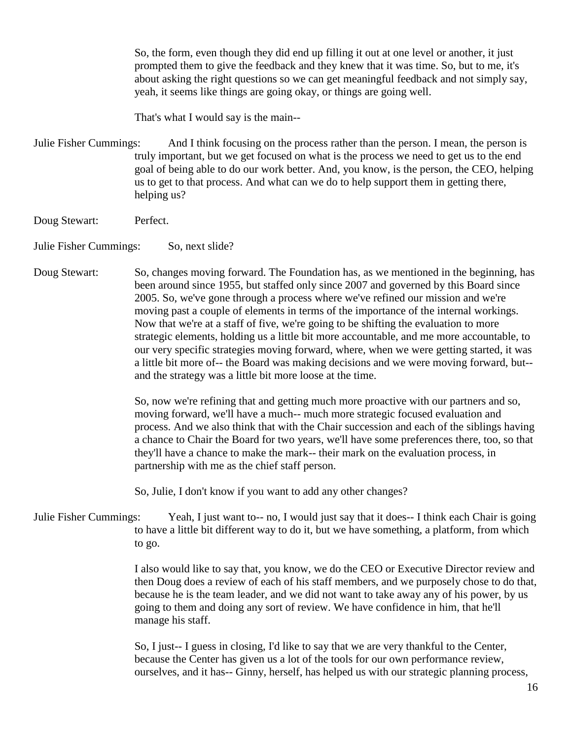So, the form, even though they did end up filling it out at one level or another, it just prompted them to give the feedback and they knew that it was time. So, but to me, it's about asking the right questions so we can get meaningful feedback and not simply say, yeah, it seems like things are going okay, or things are going well.

That's what I would say is the main--

Julie Fisher Cummings: And I think focusing on the process rather than the person. I mean, the person is truly important, but we get focused on what is the process we need to get us to the end goal of being able to do our work better. And, you know, is the person, the CEO, helping us to get to that process. And what can we do to help support them in getting there, helping us?

- Doug Stewart: Perfect.
- Julie Fisher Cummings: So, next slide?
- Doug Stewart: So, changes moving forward. The Foundation has, as we mentioned in the beginning, has been around since 1955, but staffed only since 2007 and governed by this Board since 2005. So, we've gone through a process where we've refined our mission and we're moving past a couple of elements in terms of the importance of the internal workings. Now that we're at a staff of five, we're going to be shifting the evaluation to more strategic elements, holding us a little bit more accountable, and me more accountable, to our very specific strategies moving forward, where, when we were getting started, it was a little bit more of-- the Board was making decisions and we were moving forward, but- and the strategy was a little bit more loose at the time.

So, now we're refining that and getting much more proactive with our partners and so, moving forward, we'll have a much-- much more strategic focused evaluation and process. And we also think that with the Chair succession and each of the siblings having a chance to Chair the Board for two years, we'll have some preferences there, too, so that they'll have a chance to make the mark-- their mark on the evaluation process, in partnership with me as the chief staff person.

So, Julie, I don't know if you want to add any other changes?

Julie Fisher Cummings: Yeah, I just want to-- no, I would just say that it does-- I think each Chair is going to have a little bit different way to do it, but we have something, a platform, from which to go.

> I also would like to say that, you know, we do the CEO or Executive Director review and then Doug does a review of each of his staff members, and we purposely chose to do that, because he is the team leader, and we did not want to take away any of his power, by us going to them and doing any sort of review. We have confidence in him, that he'll manage his staff.

So, I just-- I guess in closing, I'd like to say that we are very thankful to the Center, because the Center has given us a lot of the tools for our own performance review, ourselves, and it has-- Ginny, herself, has helped us with our strategic planning process,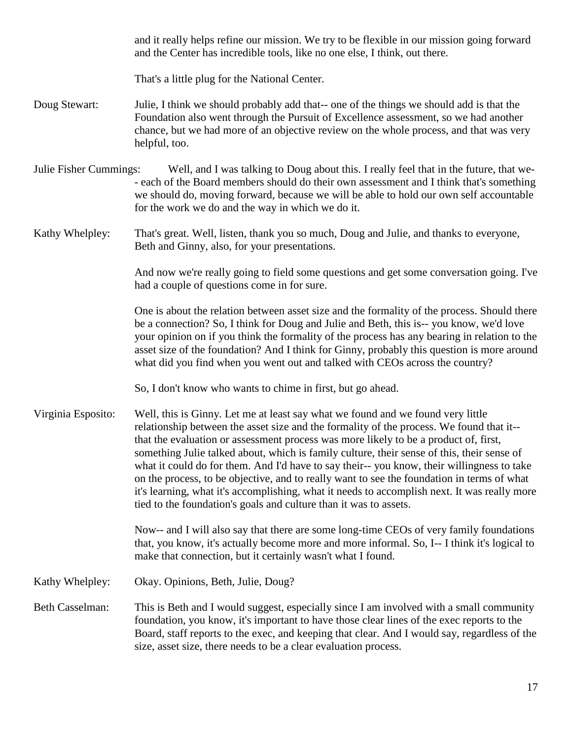and it really helps refine our mission. We try to be flexible in our mission going forward and the Center has incredible tools, like no one else, I think, out there.

That's a little plug for the National Center.

- Doug Stewart: Julie, I think we should probably add that-- one of the things we should add is that the Foundation also went through the Pursuit of Excellence assessment, so we had another chance, but we had more of an objective review on the whole process, and that was very helpful, too.
- Julie Fisher Cummings: Well, and I was talking to Doug about this. I really feel that in the future, that we- - each of the Board members should do their own assessment and I think that's something we should do, moving forward, because we will be able to hold our own self accountable for the work we do and the way in which we do it.

Kathy Whelpley: That's great. Well, listen, thank you so much, Doug and Julie, and thanks to everyone, Beth and Ginny, also, for your presentations.

> And now we're really going to field some questions and get some conversation going. I've had a couple of questions come in for sure.

> One is about the relation between asset size and the formality of the process. Should there be a connection? So, I think for Doug and Julie and Beth, this is-- you know, we'd love your opinion on if you think the formality of the process has any bearing in relation to the asset size of the foundation? And I think for Ginny, probably this question is more around what did you find when you went out and talked with CEOs across the country?

So, I don't know who wants to chime in first, but go ahead.

Virginia Esposito: Well, this is Ginny. Let me at least say what we found and we found very little relationship between the asset size and the formality of the process. We found that it- that the evaluation or assessment process was more likely to be a product of, first, something Julie talked about, which is family culture, their sense of this, their sense of what it could do for them. And I'd have to say their-- you know, their willingness to take on the process, to be objective, and to really want to see the foundation in terms of what it's learning, what it's accomplishing, what it needs to accomplish next. It was really more tied to the foundation's goals and culture than it was to assets.

> Now-- and I will also say that there are some long-time CEOs of very family foundations that, you know, it's actually become more and more informal. So, I-- I think it's logical to make that connection, but it certainly wasn't what I found.

Kathy Whelpley: Okay. Opinions, Beth, Julie, Doug?

Beth Casselman: This is Beth and I would suggest, especially since I am involved with a small community foundation, you know, it's important to have those clear lines of the exec reports to the Board, staff reports to the exec, and keeping that clear. And I would say, regardless of the size, asset size, there needs to be a clear evaluation process.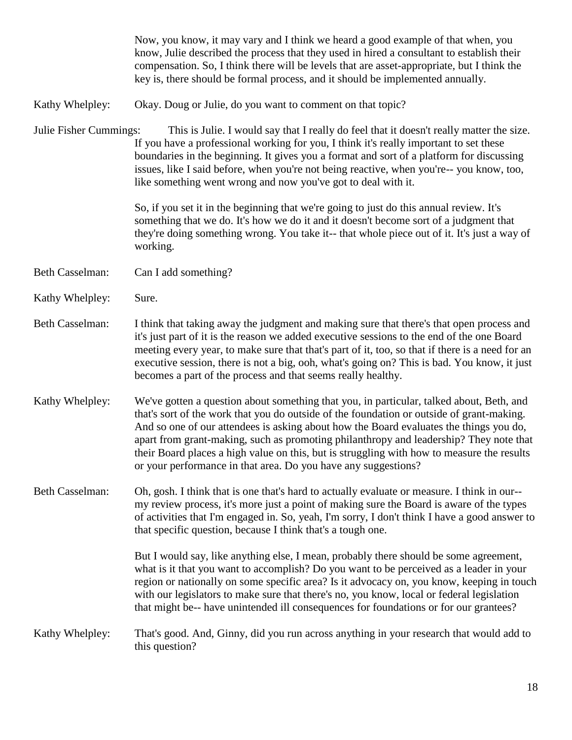|                        | Now, you know, it may vary and I think we heard a good example of that when, you<br>know, Julie described the process that they used in hired a consultant to establish their<br>compensation. So, I think there will be levels that are asset-appropriate, but I think the<br>key is, there should be formal process, and it should be implemented annually.                                                                                                                                                                             |
|------------------------|-------------------------------------------------------------------------------------------------------------------------------------------------------------------------------------------------------------------------------------------------------------------------------------------------------------------------------------------------------------------------------------------------------------------------------------------------------------------------------------------------------------------------------------------|
| Kathy Whelpley:        | Okay. Doug or Julie, do you want to comment on that topic?                                                                                                                                                                                                                                                                                                                                                                                                                                                                                |
| Julie Fisher Cummings: | This is Julie. I would say that I really do feel that it doesn't really matter the size.<br>If you have a professional working for you, I think it's really important to set these<br>boundaries in the beginning. It gives you a format and sort of a platform for discussing<br>issues, like I said before, when you're not being reactive, when you're-- you know, too,<br>like something went wrong and now you've got to deal with it.                                                                                               |
|                        | So, if you set it in the beginning that we're going to just do this annual review. It's<br>something that we do. It's how we do it and it doesn't become sort of a judgment that<br>they're doing something wrong. You take it-- that whole piece out of it. It's just a way of<br>working.                                                                                                                                                                                                                                               |
| <b>Beth Casselman:</b> | Can I add something?                                                                                                                                                                                                                                                                                                                                                                                                                                                                                                                      |
| Kathy Whelpley:        | Sure.                                                                                                                                                                                                                                                                                                                                                                                                                                                                                                                                     |
| <b>Beth Casselman:</b> | I think that taking away the judgment and making sure that there's that open process and<br>it's just part of it is the reason we added executive sessions to the end of the one Board<br>meeting every year, to make sure that that's part of it, too, so that if there is a need for an<br>executive session, there is not a big, ooh, what's going on? This is bad. You know, it just<br>becomes a part of the process and that seems really healthy.                                                                                  |
| Kathy Whelpley:        | We've gotten a question about something that you, in particular, talked about, Beth, and<br>that's sort of the work that you do outside of the foundation or outside of grant-making.<br>And so one of our attendees is asking about how the Board evaluates the things you do,<br>apart from grant-making, such as promoting philanthropy and leadership? They note that<br>their Board places a high value on this, but is struggling with how to measure the results<br>or your performance in that area. Do you have any suggestions? |
| <b>Beth Casselman:</b> | Oh, gosh. I think that is one that's hard to actually evaluate or measure. I think in our--<br>my review process, it's more just a point of making sure the Board is aware of the types<br>of activities that I'm engaged in. So, yeah, I'm sorry, I don't think I have a good answer to<br>that specific question, because I think that's a tough one.                                                                                                                                                                                   |
|                        | But I would say, like anything else, I mean, probably there should be some agreement,<br>what is it that you want to accomplish? Do you want to be perceived as a leader in your<br>region or nationally on some specific area? Is it advocacy on, you know, keeping in touch<br>with our legislators to make sure that there's no, you know, local or federal legislation<br>that might be-- have unintended ill consequences for foundations or for our grantees?                                                                       |
| Kathy Whelpley:        | That's good. And, Ginny, did you run across anything in your research that would add to<br>this question?                                                                                                                                                                                                                                                                                                                                                                                                                                 |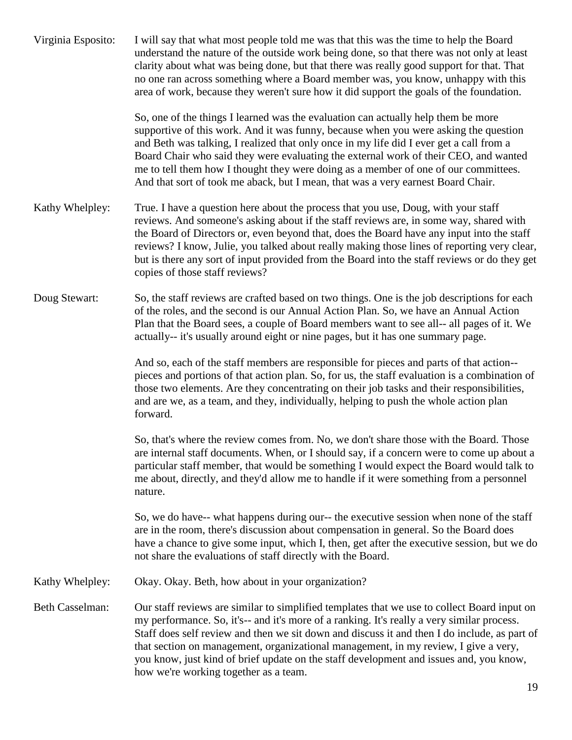| Virginia Esposito:     | I will say that what most people told me was that this was the time to help the Board<br>understand the nature of the outside work being done, so that there was not only at least<br>clarity about what was being done, but that there was really good support for that. That<br>no one ran across something where a Board member was, you know, unhappy with this<br>area of work, because they weren't sure how it did support the goals of the foundation.                                                                          |
|------------------------|-----------------------------------------------------------------------------------------------------------------------------------------------------------------------------------------------------------------------------------------------------------------------------------------------------------------------------------------------------------------------------------------------------------------------------------------------------------------------------------------------------------------------------------------|
|                        | So, one of the things I learned was the evaluation can actually help them be more<br>supportive of this work. And it was funny, because when you were asking the question<br>and Beth was talking, I realized that only once in my life did I ever get a call from a<br>Board Chair who said they were evaluating the external work of their CEO, and wanted<br>me to tell them how I thought they were doing as a member of one of our committees.<br>And that sort of took me aback, but I mean, that was a very earnest Board Chair. |
| Kathy Whelpley:        | True. I have a question here about the process that you use, Doug, with your staff<br>reviews. And someone's asking about if the staff reviews are, in some way, shared with<br>the Board of Directors or, even beyond that, does the Board have any input into the staff<br>reviews? I know, Julie, you talked about really making those lines of reporting very clear,<br>but is there any sort of input provided from the Board into the staff reviews or do they get<br>copies of those staff reviews?                              |
| Doug Stewart:          | So, the staff reviews are crafted based on two things. One is the job descriptions for each<br>of the roles, and the second is our Annual Action Plan. So, we have an Annual Action<br>Plan that the Board sees, a couple of Board members want to see all-- all pages of it. We<br>actually-- it's usually around eight or nine pages, but it has one summary page.                                                                                                                                                                    |
|                        | And so, each of the staff members are responsible for pieces and parts of that action--<br>pieces and portions of that action plan. So, for us, the staff evaluation is a combination of<br>those two elements. Are they concentrating on their job tasks and their responsibilities,<br>and are we, as a team, and they, individually, helping to push the whole action plan<br>forward.                                                                                                                                               |
|                        | So, that's where the review comes from. No, we don't share those with the Board. Those<br>are internal staff documents. When, or I should say, if a concern were to come up about a<br>particular staff member, that would be something I would expect the Board would talk to<br>me about, directly, and they'd allow me to handle if it were something from a personnel<br>nature.                                                                                                                                                    |
|                        | So, we do have-- what happens during our-- the executive session when none of the staff<br>are in the room, there's discussion about compensation in general. So the Board does<br>have a chance to give some input, which I, then, get after the executive session, but we do<br>not share the evaluations of staff directly with the Board.                                                                                                                                                                                           |
| Kathy Whelpley:        | Okay. Okay. Beth, how about in your organization?                                                                                                                                                                                                                                                                                                                                                                                                                                                                                       |
| <b>Beth Casselman:</b> | Our staff reviews are similar to simplified templates that we use to collect Board input on<br>my performance. So, it's-- and it's more of a ranking. It's really a very similar process.<br>Staff does self review and then we sit down and discuss it and then I do include, as part of<br>that section on management, organizational management, in my review, I give a very,<br>you know, just kind of brief update on the staff development and issues and, you know,<br>how we're working together as a team.                     |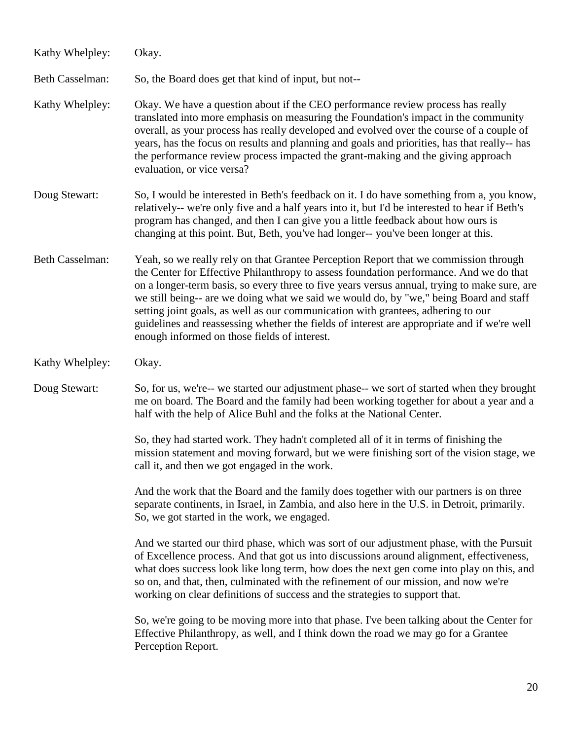| Kathy Whelpley:        | Okay.                                                                                                                                                                                                                                                                                                                                                                                                                                                                                                                                                                                                       |
|------------------------|-------------------------------------------------------------------------------------------------------------------------------------------------------------------------------------------------------------------------------------------------------------------------------------------------------------------------------------------------------------------------------------------------------------------------------------------------------------------------------------------------------------------------------------------------------------------------------------------------------------|
| <b>Beth Casselman:</b> | So, the Board does get that kind of input, but not--                                                                                                                                                                                                                                                                                                                                                                                                                                                                                                                                                        |
| Kathy Whelpley:        | Okay. We have a question about if the CEO performance review process has really<br>translated into more emphasis on measuring the Foundation's impact in the community<br>overall, as your process has really developed and evolved over the course of a couple of<br>years, has the focus on results and planning and goals and priorities, has that really-- has<br>the performance review process impacted the grant-making and the giving approach<br>evaluation, or vice versa?                                                                                                                        |
| Doug Stewart:          | So, I would be interested in Beth's feedback on it. I do have something from a, you know,<br>relatively-- we're only five and a half years into it, but I'd be interested to hear if Beth's<br>program has changed, and then I can give you a little feedback about how ours is<br>changing at this point. But, Beth, you've had longer--you've been longer at this.                                                                                                                                                                                                                                        |
| <b>Beth Casselman:</b> | Yeah, so we really rely on that Grantee Perception Report that we commission through<br>the Center for Effective Philanthropy to assess foundation performance. And we do that<br>on a longer-term basis, so every three to five years versus annual, trying to make sure, are<br>we still being-- are we doing what we said we would do, by "we," being Board and staff<br>setting joint goals, as well as our communication with grantees, adhering to our<br>guidelines and reassessing whether the fields of interest are appropriate and if we're well<br>enough informed on those fields of interest. |
| Kathy Whelpley:        | Okay.                                                                                                                                                                                                                                                                                                                                                                                                                                                                                                                                                                                                       |
| Doug Stewart:          | So, for us, we're-- we started our adjustment phase-- we sort of started when they brought<br>me on board. The Board and the family had been working together for about a year and a<br>half with the help of Alice Buhl and the folks at the National Center.                                                                                                                                                                                                                                                                                                                                              |
|                        | So, they had started work. They hadn't completed all of it in terms of finishing the<br>mission statement and moving forward, but we were finishing sort of the vision stage, we<br>call it, and then we got engaged in the work.                                                                                                                                                                                                                                                                                                                                                                           |
|                        | And the work that the Board and the family does together with our partners is on three<br>separate continents, in Israel, in Zambia, and also here in the U.S. in Detroit, primarily.<br>So, we got started in the work, we engaged.                                                                                                                                                                                                                                                                                                                                                                        |
|                        | And we started our third phase, which was sort of our adjustment phase, with the Pursuit<br>of Excellence process. And that got us into discussions around alignment, effectiveness,<br>what does success look like long term, how does the next gen come into play on this, and<br>so on, and that, then, culminated with the refinement of our mission, and now we're<br>working on clear definitions of success and the strategies to support that.                                                                                                                                                      |
|                        | So, we're going to be moving more into that phase. I've been talking about the Center for<br>Effective Philanthropy, as well, and I think down the road we may go for a Grantee<br>Perception Report.                                                                                                                                                                                                                                                                                                                                                                                                       |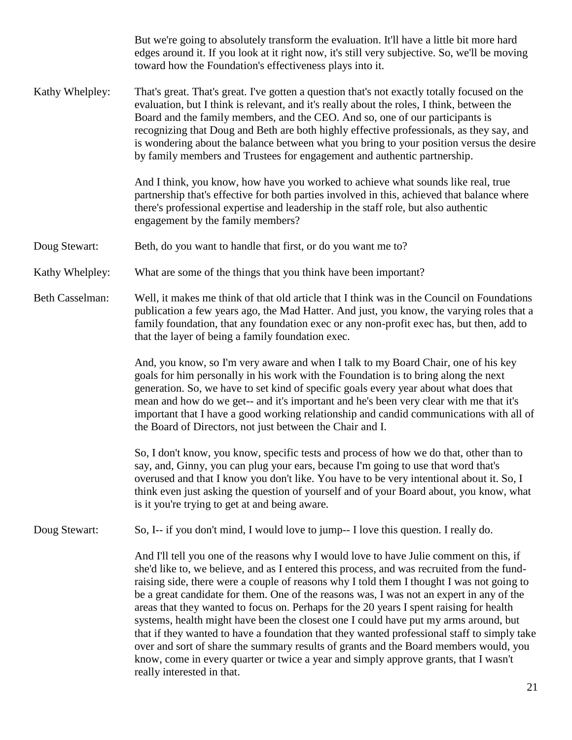|                        | But we're going to absolutely transform the evaluation. It'll have a little bit more hard<br>edges around it. If you look at it right now, it's still very subjective. So, we'll be moving<br>toward how the Foundation's effectiveness plays into it.                                                                                                                                                                                                                                                                                                                                                                                                                                                                                                                                                                                                                          |
|------------------------|---------------------------------------------------------------------------------------------------------------------------------------------------------------------------------------------------------------------------------------------------------------------------------------------------------------------------------------------------------------------------------------------------------------------------------------------------------------------------------------------------------------------------------------------------------------------------------------------------------------------------------------------------------------------------------------------------------------------------------------------------------------------------------------------------------------------------------------------------------------------------------|
| Kathy Whelpley:        | That's great. That's great. I've gotten a question that's not exactly totally focused on the<br>evaluation, but I think is relevant, and it's really about the roles, I think, between the<br>Board and the family members, and the CEO. And so, one of our participants is<br>recognizing that Doug and Beth are both highly effective professionals, as they say, and<br>is wondering about the balance between what you bring to your position versus the desire<br>by family members and Trustees for engagement and authentic partnership.                                                                                                                                                                                                                                                                                                                                 |
|                        | And I think, you know, how have you worked to achieve what sounds like real, true<br>partnership that's effective for both parties involved in this, achieved that balance where<br>there's professional expertise and leadership in the staff role, but also authentic<br>engagement by the family members?                                                                                                                                                                                                                                                                                                                                                                                                                                                                                                                                                                    |
| Doug Stewart:          | Beth, do you want to handle that first, or do you want me to?                                                                                                                                                                                                                                                                                                                                                                                                                                                                                                                                                                                                                                                                                                                                                                                                                   |
| Kathy Whelpley:        | What are some of the things that you think have been important?                                                                                                                                                                                                                                                                                                                                                                                                                                                                                                                                                                                                                                                                                                                                                                                                                 |
| <b>Beth Casselman:</b> | Well, it makes me think of that old article that I think was in the Council on Foundations<br>publication a few years ago, the Mad Hatter. And just, you know, the varying roles that a<br>family foundation, that any foundation exec or any non-profit exec has, but then, add to<br>that the layer of being a family foundation exec.                                                                                                                                                                                                                                                                                                                                                                                                                                                                                                                                        |
|                        | And, you know, so I'm very aware and when I talk to my Board Chair, one of his key<br>goals for him personally in his work with the Foundation is to bring along the next<br>generation. So, we have to set kind of specific goals every year about what does that<br>mean and how do we get-- and it's important and he's been very clear with me that it's<br>important that I have a good working relationship and candid communications with all of<br>the Board of Directors, not just between the Chair and I.                                                                                                                                                                                                                                                                                                                                                            |
|                        | So, I don't know, you know, specific tests and process of how we do that, other than to<br>say, and, Ginny, you can plug your ears, because I'm going to use that word that's<br>overused and that I know you don't like. You have to be very intentional about it. So, I<br>think even just asking the question of yourself and of your Board about, you know, what<br>is it you're trying to get at and being aware.                                                                                                                                                                                                                                                                                                                                                                                                                                                          |
| Doug Stewart:          | So, I-- if you don't mind, I would love to jump-- I love this question. I really do.                                                                                                                                                                                                                                                                                                                                                                                                                                                                                                                                                                                                                                                                                                                                                                                            |
|                        | And I'll tell you one of the reasons why I would love to have Julie comment on this, if<br>she'd like to, we believe, and as I entered this process, and was recruited from the fund-<br>raising side, there were a couple of reasons why I told them I thought I was not going to<br>be a great candidate for them. One of the reasons was, I was not an expert in any of the<br>areas that they wanted to focus on. Perhaps for the 20 years I spent raising for health<br>systems, health might have been the closest one I could have put my arms around, but<br>that if they wanted to have a foundation that they wanted professional staff to simply take<br>over and sort of share the summary results of grants and the Board members would, you<br>know, come in every quarter or twice a year and simply approve grants, that I wasn't<br>really interested in that. |